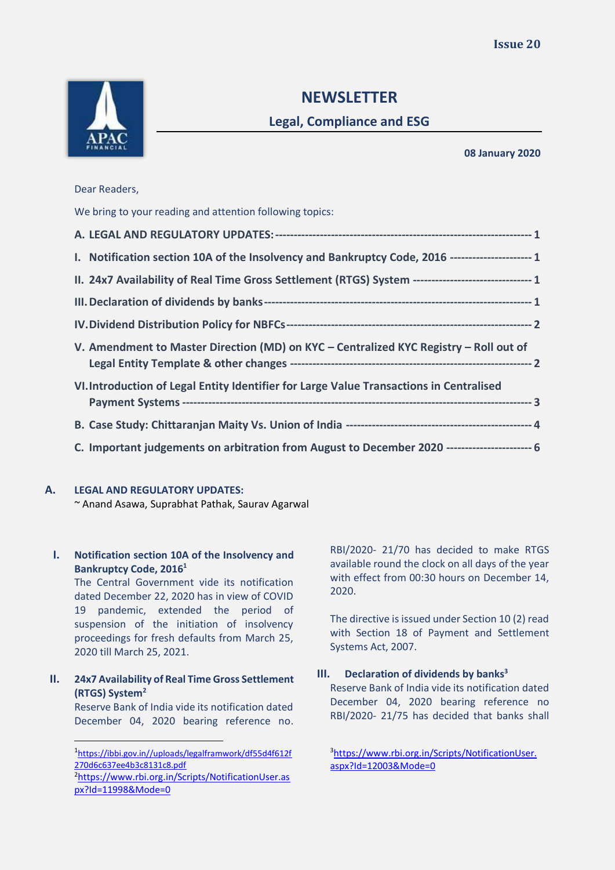

# **NEWSLETTER**

## **Legal, Compliance and ESG**

#### **08 January 2020**

## Dear Readers,

| Dear Readers,                                                                                        |  |
|------------------------------------------------------------------------------------------------------|--|
| We bring to your reading and attention following topics:                                             |  |
|                                                                                                      |  |
| I. Notification section 10A of the Insolvency and Bankruptcy Code, 2016 ---------------------- 1     |  |
| II. 24x7 Availability of Real Time Gross Settlement (RTGS) System -------------------------------- 1 |  |
|                                                                                                      |  |
|                                                                                                      |  |
| V. Amendment to Master Direction (MD) on KYC - Centralized KYC Registry - Roll out of                |  |
| VI. Introduction of Legal Entity Identifier for Large Value Transactions in Centralised              |  |
|                                                                                                      |  |
| C. Important judgements on arbitration from August to December 2020 ---------------------- 6         |  |

## **A. LEGAL AND REGULATORY UPDATES:**

<span id="page-0-0"></span>~ Anand Asawa, Suprabhat Pathak, Saurav Agarwal

## <span id="page-0-1"></span>**I. Notification section 10A of the Insolvency and Bankruptcy Code, 2016<sup>1</sup>**

The Central Government vide its notification dated December 22, 2020 has in view of COVID 19 pandemic, extended the period of suspension of the initiation of insolvency proceedings for fresh defaults from March 25, 2020 till March 25, 2021.

## <span id="page-0-2"></span>**II. 24x7 Availability of Real Time Gross Settlement (RTGS) System<sup>2</sup>**

Reserve Bank of India vide its notification dated December 04, 2020 bearing reference no. RBI/2020- 21/70 has decided to make RTGS available round the clock on all days of the year with effect from 00:30 hours on December 14, 2020.

The directive is issued under Section 10 (2) read with Section 18 of Payment and Settlement Systems Act, 2007.

## <span id="page-0-3"></span>**III. Declaration of dividends by banks<sup>3</sup>**

Reserve Bank of India vide its notification dated December 04, 2020 bearing reference no RBI/2020- 21/75 has decided that banks shall

<sup>1</sup> [https://ibbi.gov.in//uploads/legalframwork/df55d4f612f](https://ibbi.gov.in/uploads/legalframwork/df55d4f612f270d6c637ee4b3c8131c8.pdf) [270d6c637ee4b3c8131c8.pdf](https://ibbi.gov.in/uploads/legalframwork/df55d4f612f270d6c637ee4b3c8131c8.pdf) <sup>2</sup>[https://www.rbi.org.in/Scripts/NotificationUser.as](https://www.rbi.org.in/Scripts/NotificationUser.aspx?Id=11998&Mode=0) [px?Id=11998&Mode=0](https://www.rbi.org.in/Scripts/NotificationUser.aspx?Id=11998&Mode=0)

<sup>3</sup>[https://www.rbi.org.in/Scripts/NotificationUser.](https://www.rbi.org.in/Scripts/NotificationUser.aspx?Id=12003&Mode=0) [aspx?Id=12003&Mode=0](https://www.rbi.org.in/Scripts/NotificationUser.aspx?Id=12003&Mode=0)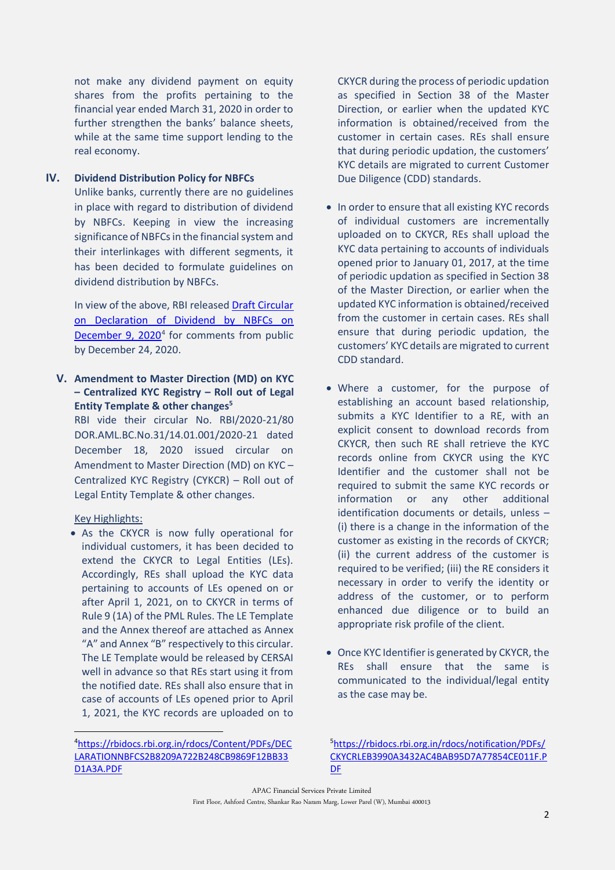not make any dividend payment on equity shares from the profits pertaining to the financial year ended March 31, 2020 in order to further strengthen the banks' balance sheets, while at the same time support lending to the real economy.

#### **IV. Dividend Distribution Policy for NBFCs**

<span id="page-1-0"></span>Unlike banks, currently there are no guidelines in place with regard to distribution of dividend by NBFCs. Keeping in view the increasing significance of NBFCs in the financial system and their interlinkages with different segments, it has been decided to formulate guidelines on dividend distribution by NBFCs.

In view of the above, RBI released Draft Circular on Declaration of Dividend by NBFCs on [December 9, 2020](https://rbidocs.rbi.org.in/rdocs/Content/PDFs/DECLARATIONNBFCS2B8209A722B248CB9869F12BB33D1A3A.PDF)<sup>4</sup> for comments from public by December 24, 2020.

<span id="page-1-1"></span>**V. Amendment to Master Direction (MD) on KYC – Centralized KYC Registry – Roll out of Legal Entity Template & other changes<sup>5</sup>**

RBI vide their circular No. RBI/2020-21/80 DOR.AML.BC.No.31/14.01.001/2020-21 dated December 18, 2020 issued circular on Amendment to Master Direction (MD) on KYC – Centralized KYC Registry (CYKCR) – Roll out of Legal Entity Template & other changes.

#### Key Highlights:

• As the CKYCR is now fully operational for individual customers, it has been decided to extend the CKYCR to Legal Entities (LEs). Accordingly, REs shall upload the KYC data pertaining to accounts of LEs opened on or after April 1, 2021, on to CKYCR in terms of Rule 9 (1A) of the PML Rules. The LE Template and the Annex thereof are attached as Annex "A" and Annex "B" respectively to this circular. The LE Template would be released by CERSAI well in advance so that REs start using it from the notified date. REs shall also ensure that in case of accounts of LEs opened prior to April 1, 2021, the KYC records are uploaded on to

CKYCR during the process of periodic updation as specified in Section 38 of the Master Direction, or earlier when the updated KYC information is obtained/received from the customer in certain cases. REs shall ensure that during periodic updation, the customers' KYC details are migrated to current Customer Due Diligence (CDD) standards.

- In order to ensure that all existing KYC records of individual customers are incrementally uploaded on to CKYCR, REs shall upload the KYC data pertaining to accounts of individuals opened prior to January 01, 2017, at the time of periodic updation as specified in Section 38 of the Master Direction, or earlier when the updated KYC information is obtained/received from the customer in certain cases. REs shall ensure that during periodic updation, the customers' KYC details are migrated to current CDD standard.
- Where a customer, for the purpose of establishing an account based relationship, submits a KYC Identifier to a RE, with an explicit consent to download records from CKYCR, then such RE shall retrieve the KYC records online from CKYCR using the KYC Identifier and the customer shall not be required to submit the same KYC records or information or any other additional identification documents or details, unless – (i) there is a change in the information of the customer as existing in the records of CKYCR; (ii) the current address of the customer is required to be verified; (iii) the RE considers it necessary in order to verify the identity or address of the customer, or to perform enhanced due diligence or to build an appropriate risk profile of the client.
- Once KYC Identifier is generated by CKYCR, the REs shall ensure that the same is communicated to the individual/legal entity as the case may be.

<sup>5</sup>[https://rbidocs.rbi.org.in/rdocs/notification/PDFs/](https://rbidocs.rbi.org.in/rdocs/notification/PDFs/CKYCRLEB3990A3432AC4BAB95D7A77854CE011F.PDF) [CKYCRLEB3990A3432AC4BAB95D7A77854CE011F.P](https://rbidocs.rbi.org.in/rdocs/notification/PDFs/CKYCRLEB3990A3432AC4BAB95D7A77854CE011F.PDF) [DF](https://rbidocs.rbi.org.in/rdocs/notification/PDFs/CKYCRLEB3990A3432AC4BAB95D7A77854CE011F.PDF)

APAC Financial Services Private Limited First Floor, Ashford Centre, Shankar Rao Naram Marg, Lower Parel (W), Mumbai 400013

<sup>4</sup>[https://rbidocs.rbi.org.in/rdocs/Content/PDFs/DEC](https://rbidocs.rbi.org.in/rdocs/Content/PDFs/DECLARATIONNBFCS2B8209A722B248CB9869F12BB33D1A3A.PDF) [LARATIONNBFCS2B8209A722B248CB9869F12BB33](https://rbidocs.rbi.org.in/rdocs/Content/PDFs/DECLARATIONNBFCS2B8209A722B248CB9869F12BB33D1A3A.PDF) [D1A3A.PDF](https://rbidocs.rbi.org.in/rdocs/Content/PDFs/DECLARATIONNBFCS2B8209A722B248CB9869F12BB33D1A3A.PDF)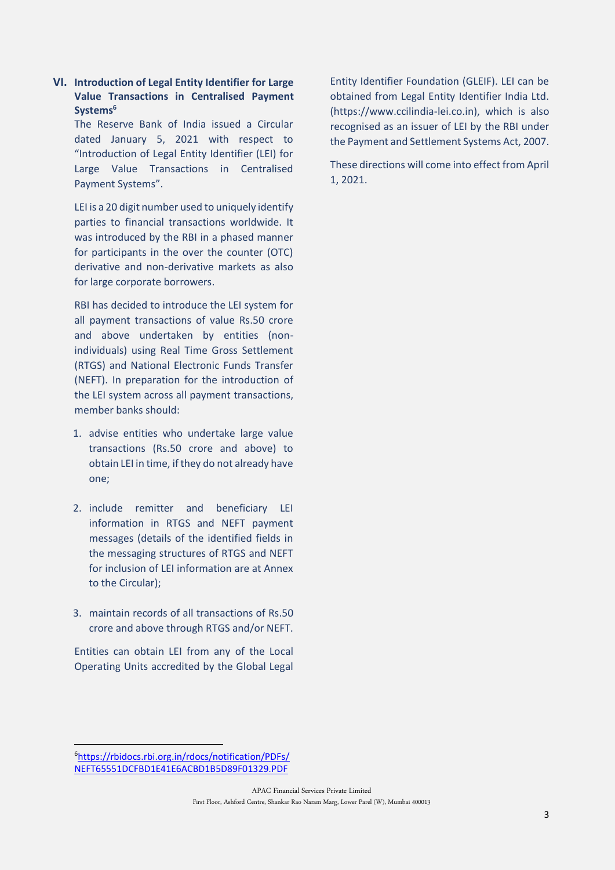### <span id="page-2-0"></span>**VI. Introduction of Legal Entity Identifier for Large Value Transactions in Centralised Payment Systems<sup>6</sup>**

The Reserve Bank of India issued a Circular dated January 5, 2021 with respect to "Introduction of Legal Entity Identifier (LEI) for Large Value Transactions in Centralised Payment Systems".

LEI is a 20 digit number used to uniquely identify parties to financial transactions worldwide. It was introduced by the RBI in a phased manner for participants in the over the counter (OTC) derivative and non-derivative markets as also for large corporate borrowers.

RBI has decided to introduce the LEI system for all payment transactions of value Rs.50 crore and above undertaken by entities (nonindividuals) using Real Time Gross Settlement (RTGS) and National Electronic Funds Transfer (NEFT). In preparation for the introduction of the LEI system across all payment transactions, member banks should:

- 1. advise entities who undertake large value transactions (Rs.50 crore and above) to obtain LEI in time, if they do not already have one;
- 2. include remitter and beneficiary LEI information in RTGS and NEFT payment messages (details of the identified fields in the messaging structures of RTGS and NEFT for inclusion of LEI information are at Annex to the Circular);
- 3. maintain records of all transactions of Rs.50 crore and above through RTGS and/or NEFT.

<span id="page-2-1"></span>Entities can obtain LEI from any of the Local Operating Units accredited by the Global Legal Entity Identifier Foundation (GLEIF). LEI can be obtained from Legal Entity Identifier India Ltd. (https://www.ccilindia-lei.co.in), which is also recognised as an issuer of LEI by the RBI under the Payment and Settlement Systems Act, 2007.

These directions will come into effect from April 1, 2021.

<sup>6</sup>[https://rbidocs.rbi.org.in/rdocs/notification/PDFs/](https://rbidocs.rbi.org.in/rdocs/notification/PDFs/NEFT65551DCFBD1E41E6ACBD1B5D89F01329.PDF) [NEFT65551DCFBD1E41E6ACBD1B5D89F01329.PDF](https://rbidocs.rbi.org.in/rdocs/notification/PDFs/NEFT65551DCFBD1E41E6ACBD1B5D89F01329.PDF)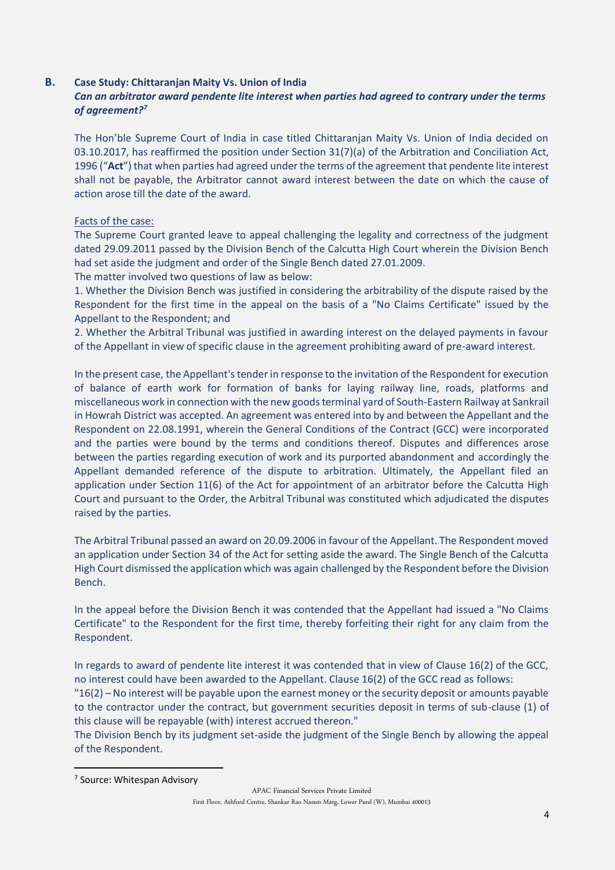#### **B. Case Study: Chittaranjan Maity Vs. Union of India**

## *Can an arbitrator award pendente lite interest when parties had agreed to contrary under the terms of agreement?<sup>7</sup>*

The Hon'ble Supreme Court of India in case titled Chittaranjan Maity Vs. Union of India decided on 03.10.2017, has reaffirmed the position under Section 31(7)(a) of the Arbitration and Conciliation Act, 1996 ("**Act**") that when parties had agreed under the terms of the agreement that pendente lite interest shall not be payable, the Arbitrator cannot award interest between the date on which the cause of action arose till the date of the award.

#### Facts of the case:

The Supreme Court granted leave to appeal challenging the legality and correctness of the judgment dated 29.09.2011 passed by the Division Bench of the Calcutta High Court wherein the Division Bench had set aside the judgment and order of the Single Bench dated 27.01.2009.

The matter involved two questions of law as below:

1. Whether the Division Bench was justified in considering the arbitrability of the dispute raised by the Respondent for the first time in the appeal on the basis of a "No Claims Certificate" issued by the Appellant to the Respondent; and

2. Whether the Arbitral Tribunal was justified in awarding interest on the delayed payments in favour of the Appellant in view of specific clause in the agreement prohibiting award of pre-award interest.

In the present case, the Appellant's tender in response to the invitation of the Respondent for execution of balance of earth work for formation of banks for laying railway line, roads, platforms and miscellaneous work in connection with the new goods terminal yard of South-Eastern Railway at Sankrail in Howrah District was accepted. An agreement was entered into by and between the Appellant and the Respondent on 22.08.1991, wherein the General Conditions of the Contract (GCC) were incorporated and the parties were bound by the terms and conditions thereof. Disputes and differences arose between the parties regarding execution of work and its purported abandonment and accordingly the Appellant demanded reference of the dispute to arbitration. Ultimately, the Appellant filed an application under Section 11(6) of the Act for appointment of an arbitrator before the Calcutta High Court and pursuant to the Order, the Arbitral Tribunal was constituted which adjudicated the disputes raised by the parties.

The Arbitral Tribunal passed an award on 20.09.2006 in favour of the Appellant. The Respondent moved an application under Section 34 of the Act for setting aside the award. The Single Bench of the Calcutta High Court dismissed the application which was again challenged by the Respondent before the Division Bench.

In the appeal before the Division Bench it was contended that the Appellant had issued a "No Claims Certificate" to the Respondent for the first time, thereby forfeiting their right for any claim from the Respondent.

In regards to award of pendente lite interest it was contended that in view of Clause 16(2) of the GCC, no interest could have been awarded to the Appellant. Clause 16(2) of the GCC read as follows:

"16(2) – No interest will be payable upon the earnest money or the security deposit or amounts payable to the contractor under the contract, but government securities deposit in terms of sub-clause (1) of this clause will be repayable (with) interest accrued thereon."

The Division Bench by its judgment set-aside the judgment of the Single Bench by allowing the appeal of the Respondent.

<sup>7</sup> Source: Whitespan Advisory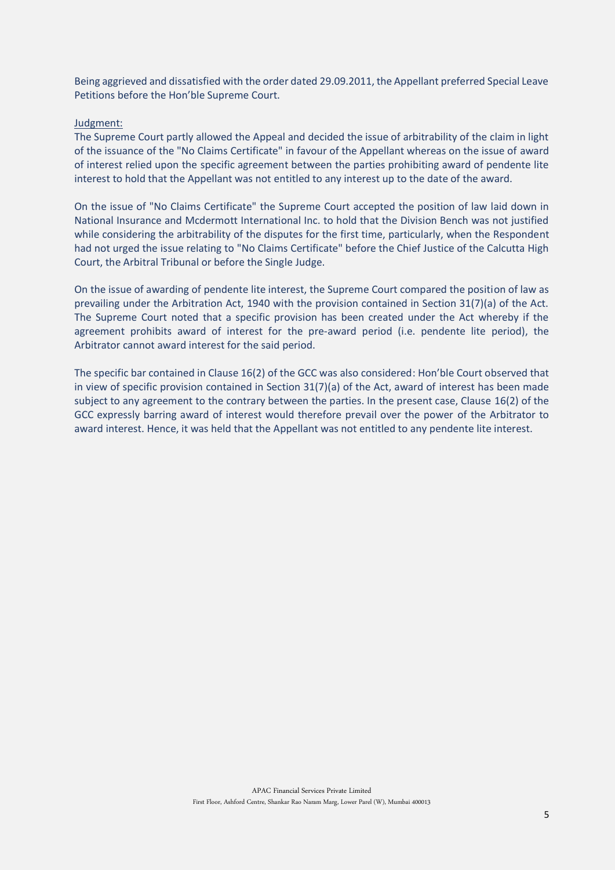Being aggrieved and dissatisfied with the order dated 29.09.2011, the Appellant preferred Special Leave Petitions before the Hon'ble Supreme Court.

#### Judgment:

The Supreme Court partly allowed the Appeal and decided the issue of arbitrability of the claim in light of the issuance of the "No Claims Certificate" in favour of the Appellant whereas on the issue of award of interest relied upon the specific agreement between the parties prohibiting award of pendente lite interest to hold that the Appellant was not entitled to any interest up to the date of the award.

On the issue of "No Claims Certificate" the Supreme Court accepted the position of law laid down in National Insurance and Mcdermott International Inc. to hold that the Division Bench was not justified while considering the arbitrability of the disputes for the first time, particularly, when the Respondent had not urged the issue relating to "No Claims Certificate" before the Chief Justice of the Calcutta High Court, the Arbitral Tribunal or before the Single Judge.

On the issue of awarding of pendente lite interest, the Supreme Court compared the position of law as prevailing under the Arbitration Act, 1940 with the provision contained in Section 31(7)(a) of the Act. The Supreme Court noted that a specific provision has been created under the Act whereby if the agreement prohibits award of interest for the pre-award period (i.e. pendente lite period), the Arbitrator cannot award interest for the said period.

<span id="page-4-0"></span>The specific bar contained in Clause 16(2) of the GCC was also considered: Hon'ble Court observed that in view of specific provision contained in Section 31(7)(a) of the Act, award of interest has been made subject to any agreement to the contrary between the parties. In the present case, Clause 16(2) of the GCC expressly barring award of interest would therefore prevail over the power of the Arbitrator to award interest. Hence, it was held that the Appellant was not entitled to any pendente lite interest.